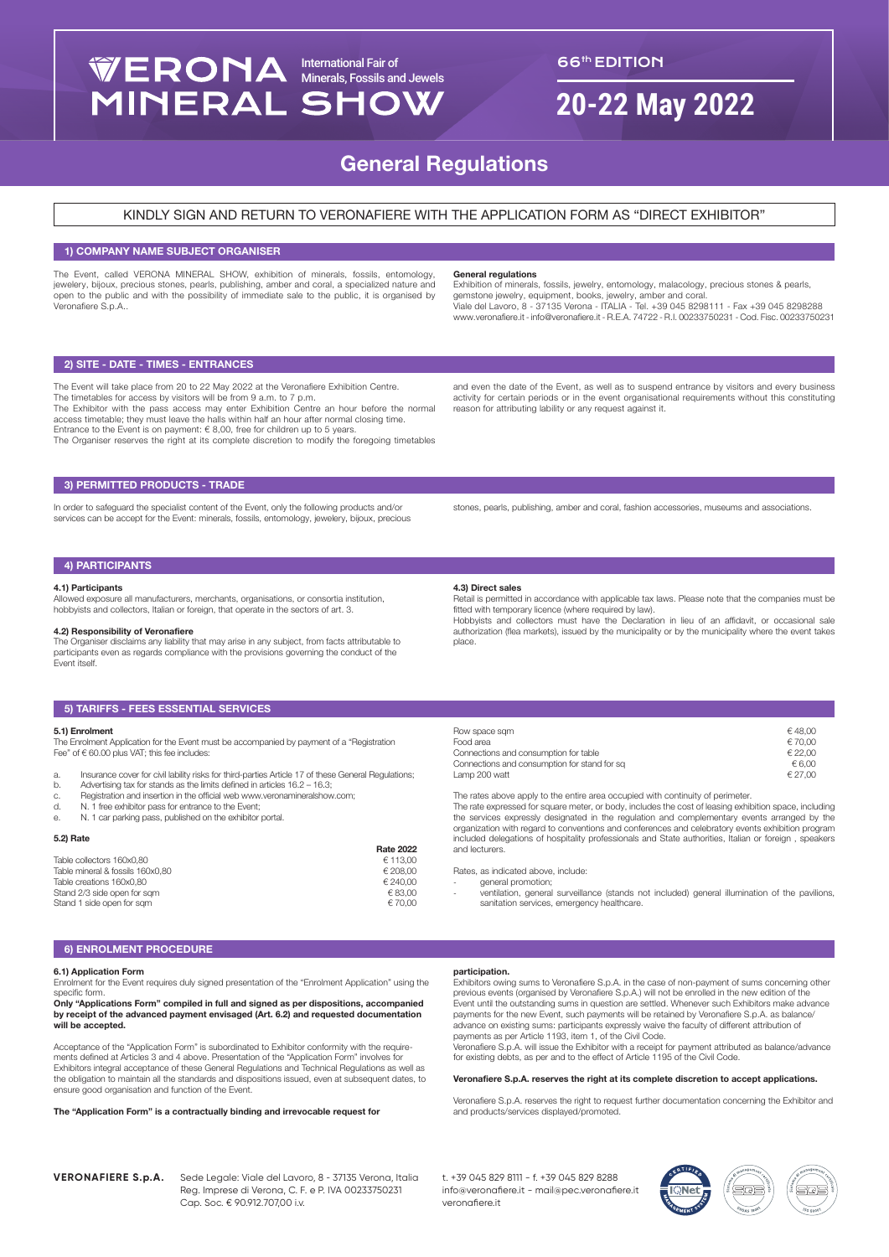# International Fair of Minerals, Fossils and Jewels **MINERAL SHOW**

# 66th EDITION

# **20-22 May 2022**

# General Regulations

# KINDLY SIGN AND RETURN TO VERONAFIERE WITH THE APPLICATION FORM AS "DIRECT EXHIBITOR"

# 1) COMPANY NAME SUBJECT ORGANISER

The Event, called VERONA MINERAL SHOW, exhibition of minerals, fossils, entomology, jewelery, bijoux, precious stones, pearls, publishing, amber and coral, a specialized nature and open to the public and with the possibility of immediate sale to the public, it is organised by Veronafiere S.p.A..

#### General regulations

Exhibition of minerals, fossils, jewelry, entomology, malacology, precious stones & pearls, gemstone jewelry, equipment, books, jewelry, amber and coral. Viale del Lavoro, 8 - 37135 Verona - ITALIA - Tel. +39 045 8298111 - Fax +39 045 8298288 www.veronafiere.it - info@veronafiere.it - R.E.A. 74722 - R.I. 00233750231 - Cod. Fisc. 00233750231

# 2) SITE - DATE - TIMES - ENTRANCES

The Event will take place from 20 to 22 May 2022 at the Veronafiere Exhibition Centre. The timetables for access by visitors will be from 9 a.m. to 7 p.m.

The Exhibitor with the pass access may enter Exhibition Centre an hour before the normal access timetable; they must leave the halls within half an hour after normal closing time. Entrance to the Event is on payment:  $\in$  8,00, free for children up to 5 years. The Organiser reserves the right at its complete discretion to modify the foregoing timetables

and even the date of the Event, as well as to suspend entrance by visitors and every business activity for certain periods or in the event organisational requirements without this constituting reason for attributing lability or any request against it.

# 3) PERMITTED PRODUCTS - TRADE

In order to safeguard the specialist content of the Event, only the following products and/or services can be accept for the Event: minerals, fossils, entomology, jewelery, bijoux, precious stones, pearls, publishing, amber and coral, fashion accessories, museums and associations.

# 4) PARTICIPANTS

#### 4.1) Participants

Allowed exposure all manufacturers, merchants, organisations, or consortia institution, hobbyists and collectors, Italian or foreign, that operate in the sectors of art. 3.

### 4.2) Responsibility of Veronafiere

The Organiser disclaims any liability that may arise in any subject, from facts attributable to participants even as regards compliance with the provisions governing the conduct of the Event itself.

# 5) TARIFFS - FEES ESSENTIAL SERVICES

#### 5.1) Enrolment

The Enrolment Application for the Event must be accompanied by payment of a "Registration Fee" of  $\in$  60.00 plus VAT; this fee includes:

- 
- a. Insurance cover for civil lability risks for third-parties Article 17 of these General Regulations; b. Advertising tax for stands as the limits defined in articles 16.2 16.3;
- c. Registration and insertion in the official web www.veronamineralshow.com;<br>d. N. 1 free exhibitor pass for entrance to the Event:
- 
- d. N. 1 free exhibitor pass for entrance to the Event; e. N. 1 car parking pass, published on the exhibitor portal.

# 5.2) Rate

|                                  | <b>Rate 2022</b> |
|----------------------------------|------------------|
| Table collectors 160x0.80        | € 113.00         |
| Table mineral & fossils 160x0.80 | € 208.00         |
| Table creations 160x0.80         | € 240.00         |
| Stand 2/3 side open for sam      | € 83.00          |
| Stand 1 side open for sam        | € 70.00          |
|                                  |                  |

#### 4.3) Direct sales

Retail is permitted in accordance with applicable tax laws. Please note that the companies must be fitted with temporary licence (where required by law). Hobbyists and collectors must have the Declaration in lieu of an affidavit, or occasional sale

authorization (flea markets), issued by the municipality or by the municipality where the event takes place.

| Row space som                                | €48.00  |
|----------------------------------------------|---------|
| Food area                                    | €70.00  |
| Connections and consumption for table        | € 22.00 |
| Connections and consumption for stand for sq | € 6.00  |
| Lamp 200 watt                                | € 27.00 |

The rates above apply to the entire area occupied with continuity of perimeter

The rate expressed for square meter, or body, includes the cost of leasing exhibition space, including the services expressly designated in the regulation and complementary events arranged by the organization with regard to conventions and conferences and celebratory events exhibition program included delegations of hospitality professionals and State authorities, Italian or foreign , speakers and lecturers.

Rates, as indicated above, include:

- general promotion; - ventilation, general surveillance (stands not included) general illumination of the pavilions, sanitation services, emergency healthcare.

# 6) ENROLMENT PROCEDURE

# 6.1) Application Form

Enrolment for the Event requires duly signed presentation of the "Enrolment Application" using the specific form.

Only "Applications Form" compiled in full and signed as per dispositions, accompanied by receipt of the advanced payment envisaged (Art. 6.2) and requested documentation will be accepted.

Acceptance of the "Application Form" is subordinated to Exhibitor conformity with the requirements defined at Articles 3 and 4 above. Presentation of the "Application Form" involves for Exhibitors integral acceptance of these General Regulations and Technical Regulations as well as the obligation to maintain all the standards and dispositions issued, even at subsequent dates, to ensure good organisation and function of the Event.

#### The "Application Form" is a contractually binding and irrevocable request for

# participation.

Exhibitors owing sums to Veronafiere S.p.A. in the case of non-payment of sums concerning other previous events (organised by Veronafiere S.p.A.) will not be enrolled in the new edition of the Event until the outstanding sums in question are settled. Whenever such Exhibitors make advance payments for the new Event, such payments will be retained by Veronafiere S.p.A. as balance/ advance on existing sums: participants expressly waive the faculty of different attribution of payments as per Article 1193, item 1, of the Civil Code.

Veronafiere S.p.A. will issue the Exhibitor with a receipt for payment attributed as balance/advance for existing debts, as per and to the effect of Article 1195 of the Civil Code.

#### Veronafiere S.p.A. reserves the right at its complete discretion to accept applications.

Veronafiere S.p.A. reserves the right to request further documentation concerning the Exhibitor and and products/services displayed/promoted.

**VERONAFIERE S.p.A.** Sede Legale: Viale del Lavoro, 8 - 37135 Verona, Italia Reg. Imprese di Verona, C. F. e P. IVA 00233750231 Cap. Soc. € 90.912.707,00 i.v.

t. +39 045 829 8111 - f. +39 045 829 8288 info@veronafiere.it - mail@pec.veronafiere.it veronafiere.it

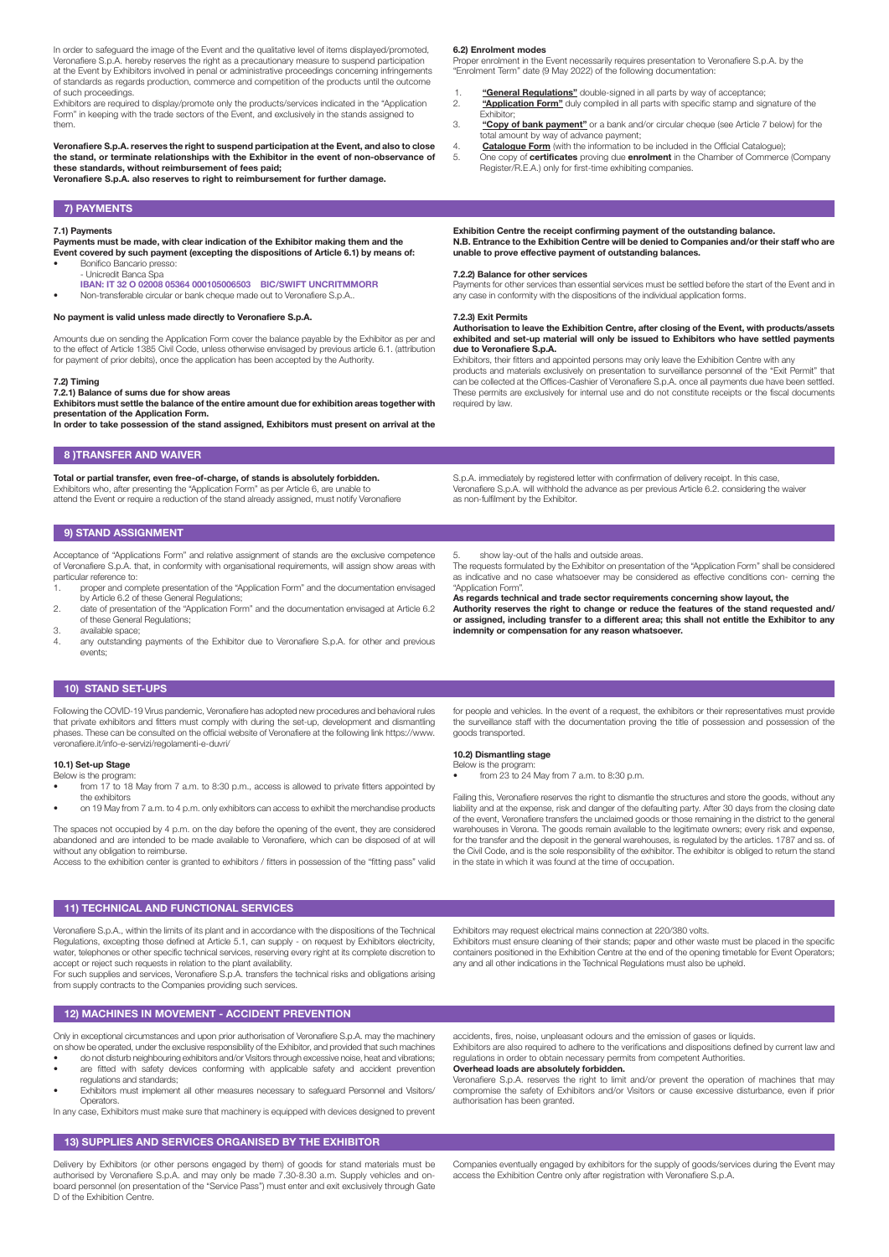In order to safeguard the image of the Event and the qualitative level of items displayed/promoted, Veronafiere S.p.A. hereby reserves the right as a precautionary measure to suspend participation at the Event by Exhibitors involved in penal or administrative proceedings concerning infringements of standards as regards production, commerce and competition of the products until the outcome of such proceedings.

Exhibitors are required to display/promote only the products/services indicated in the "Application Form" in keeping with the trade sectors of the Event, and exclusively in the stands assigned to them.

Veronafiere S.p.A. reserves the right to suspend participation at the Event, and also to close the stand, or terminate relationships with the Exhibitor in the event of non-observance of these standards, without reimbursement of fees paid;

Veronafiere S.p.A. also reserves to right to reimbursement for further damage.

# 7) PAYMENTS

#### 7.1) Payments

Payments must be made, with clear indication of the Exhibitor making them and the Event covered by such payment (excepting the dispositions of Article 6.1) by means of: • Bonifico Bancario presso:

- Unicredit Banca Spa
- IBAN: IT 32 O 02008 05364 000105006503 BIC/SWIFT UNCRITMMORR • Non-transferable circular or bank cheque made out to Veronafiere S.p.A..

#### No payment is valid unless made directly to Veronafiere S.p.A.

Amounts due on sending the Application Form cover the balance payable by the Exhibitor as per and to the effect of Article 1385 Civil Code, unless otherwise envisaged by previous article 6.1. (attribution for payment of prior debits), once the application has been accepted by the Authority.

#### 7.2) Timing

7.2.1) Balance of sums due for show areas Exhibitors must settle the balance of the entire amount due for exhibition areas together with

presentation of the Application Form. In order to take possession of the stand assigned, Exhibitors must present on arrival at the

# 8 )TRANSFER AND WAIVER

Total or partial transfer, even free-of-charge, of stands is absolutely forbidden. Exhibitors who, after presenting the "Application Form" as per Article 6, are unable to attend the Event or require a reduction of the stand already assigned, must notify Veronafiere

### 9) STAND ASSIGNMENT

Acceptance of "Applications Form" and relative assignment of stands are the exclusive competence of Veronafiere S.p.A. that, in conformity with organisational requirements, will assign show areas with particular reference to:

- 1. proper and complete presentation of the "Application Form" and the documentation envisaged by Article 6.2 of these General Regulations;
- 2. date of presentation of the "Application Form" and the documentation envisaged at Article 6.2 of these General Regulations;
- 3. available space;<br>4. any outstanding
- any outstanding payments of the Exhibitor due to Veronafiere S.p.A. for other and previous events;

6.2) Enrolment modes

Proper enrolment in the Event necessarily requires presentation to Veronafiere S.p.A. by the "Enrolment Term" date (9 May 2022) of the following documentation:

- 1. "General Regulations" double-signed in all parts by way of acceptance;<br>"Annlication Form" duly compiled in all parts with specific stamp and signal "Application Form" duly compiled in all parts with specific stamp and signature of the Exhibitor;
- 3. "Copy of bank payment" or a bank and/or circular cheque (see Article 7 below) for the total amount by way of advance payment;
- 4. **Catalogue Form** (with the information to be included in the Official Catalogue);<br>5. One copy of **certificates** proving due **enrolment** in the Chamber of Commerce
- One copy of certificates proving due enrolment in the Chamber of Commerce (Company Register/R.E.A.) only for first-time exhibiting companies.

#### Exhibition Centre the receipt confirming payment of the outstanding balance. N.B. Entrance to the Exhibition Centre will be denied to Companies and/or their staff who are unable to prove effective payment of outstanding balances.

#### 7.2.2) Balance for other services

Payments for other services than essential services must be settled before the start of the Event and in any case in conformity with the dispositions of the individual application forms.

#### 7.2.3) Exit Permits

#### Authorisation to leave the Exhibition Centre, after closing of the Event, with products/assets exhibited and set-up material will only be issued to Exhibitors who have settled payments due to Veronafiere S.p.A.

Exhibitors, their fitters and appointed persons may only leave the Exhibition Centre with any products and materials exclusively on presentation to surveillance personnel of the "Exit Permit" that can be collected at the Offices-Cashier of Veronafiere S.p.A. once all payments due have been settled. These permits are exclusively for internal use and do not constitute receipts or the fiscal documents required by law.

S.p.A. immediately by registered letter with confirmation of delivery receipt. In this case, Veronafiere S.p.A. will withhold the advance as per previous Article 6.2. considering the waiver as non-fulfilment by the Exhibitor.

#### 5. show lay-out of the halls and outside areas.

The requests formulated by the Exhibitor on presentation of the "Application Form" shall be considered as indicative and no case whatsoever may be considered as effective conditions con- cerning the "Application Form".

As regards technical and trade sector requirements concerning show layout, the Authority reserves the right to change or reduce the features of the stand requested and/ or assigned, including transfer to a different area; this shall not entitle the Exhibitor to any indemnity or compensation for any reason whatsoever.

#### 10) STAND SET-UPS

Following the COVID-19 Virus pandemic, Veronafiere has adopted new procedures and behavioral rules that private exhibitors and fitters must comply with during the set-up, development and dismantling phases. These can be consulted on the official website of Veronafiere at the following link https://www. veronafiere.it/info-e-servizi/regolamenti-e-duvri/

## 10.1) Set-up Stage

- Below is the program: • from 17 to 18 May from 7 a.m. to 8:30 p.m., access is allowed to private fitters appointed by
- the exhibitors • on 19 May from 7 a.m. to 4 p.m. only exhibitors can access to exhibit the merchandise products

The spaces not occupied by 4 p.m. on the day before the opening of the event, they are considered abandoned and are intended to be made available to Veronafiere, which can be disposed of at will without any obligation to reimburse.

Access to the exhibition center is granted to exhibitors / fitters in possession of the "fitting pass" valid

for people and vehicles. In the event of a request, the exhibitors or their representatives must provide the surveillance staff with the documentation proving the title of possession and possession of the goods transported.

#### 10.2) Dismantling stage

Below is the program: • from 23 to 24 May from 7 a.m. to 8:30 p.m.

Failing this, Veronafiere reserves the right to dismantle the structures and store the goods, without any liability and at the expense, risk and danger of the defaulting party. After 30 days from the closing date of the event, Veronafiere transfers the unclaimed goods or those remaining in the district to the general warehouses in Verona. The goods remain available to the legitimate owners; every risk and expense, for the transfer and the deposit in the general warehouses, is regulated by the articles. 1787 and ss. of the Civil Code, and is the sole responsibility of the exhibitor. The exhibitor is obliged to return the stand in the state in which it was found at the time of occupation.

Exhibitors must ensure cleaning of their stands; paper and other waste must be placed in the specific containers positioned in the Exhibition Centre at the end of the opening timetable for Event Operators;

#### 11) TECHNICAL AND FUNCTIONAL SERVICES

regulations and standards;

**Operators** 

Veronafiere S.p.A., within the limits of its plant and in accordance with the dispositions of the Technical Regulations, excepting those defined at Article 5.1, can supply - on request by Exhibitors electricity, water, telephones or other specific technical services, reserving every right at its complete discretion to accept or reject such requests in relation to the plant availability.

For such supplies and services, Veronafiere S.p.A. transfers the technical risks and obligations arising from supply contracts to the Companies providing such services.

• do not disturb neighbouring exhibitors and/or Visitors through excessive noise, heat and vibrations; are fitted with safety devices conforming with applicable safety and accident prevention

• Exhibitors must implement all other measures necessary to safeguard Personnel and Visitors/

12) MACHINES IN MOVEMENT - ACCIDENT PREVENTION

any and all other indications in the Technical Regulations must also be upheld.

Only in exceptional circumstances and upon prior authorisation of Veronafiere S.p.A. may the machinery on show be operated, under the exclusive responsibility of the Exhibitor, and provided that such machines accidents, fires, noise, unpleasant odours and the emission of gases or liquids.

Exhibitors may request electrical mains connection at 220/380 volts.

Exhibitors are also required to adhere to the verifications and dispositions defined by current law and regulations in order to obtain necessary permits from competent Authorities.

Overhead loads are absolutely forbidden.

Veronafiere S.p.A. reserves the right to limit and/or prevent the operation of machines that may compromise the safety of Exhibitors and/or Visitors or cause excessive disturbance, even if prior authorisation has been granted.

In any case, Exhibitors must make sure that machinery is equipped with devices designed to prevent 13) SUPPLIES AND SERVICES ORGANISED BY THE EXHIBITOR

Delivery by Exhibitors (or other persons engaged by them) of goods for stand materials must be authorised by Veronafiere S.p.A. and may only be made 7.30-8.30 a.m. Supply vehicles and on-board personnel (on presentation of the "Service Pass") must enter and exit exclusively through Gate D of the Exhibition Centre.

Companies eventually engaged by exhibitors for the supply of goods/services during the Event may access the Exhibition Centre only after registration with Veronafiere S.p.A.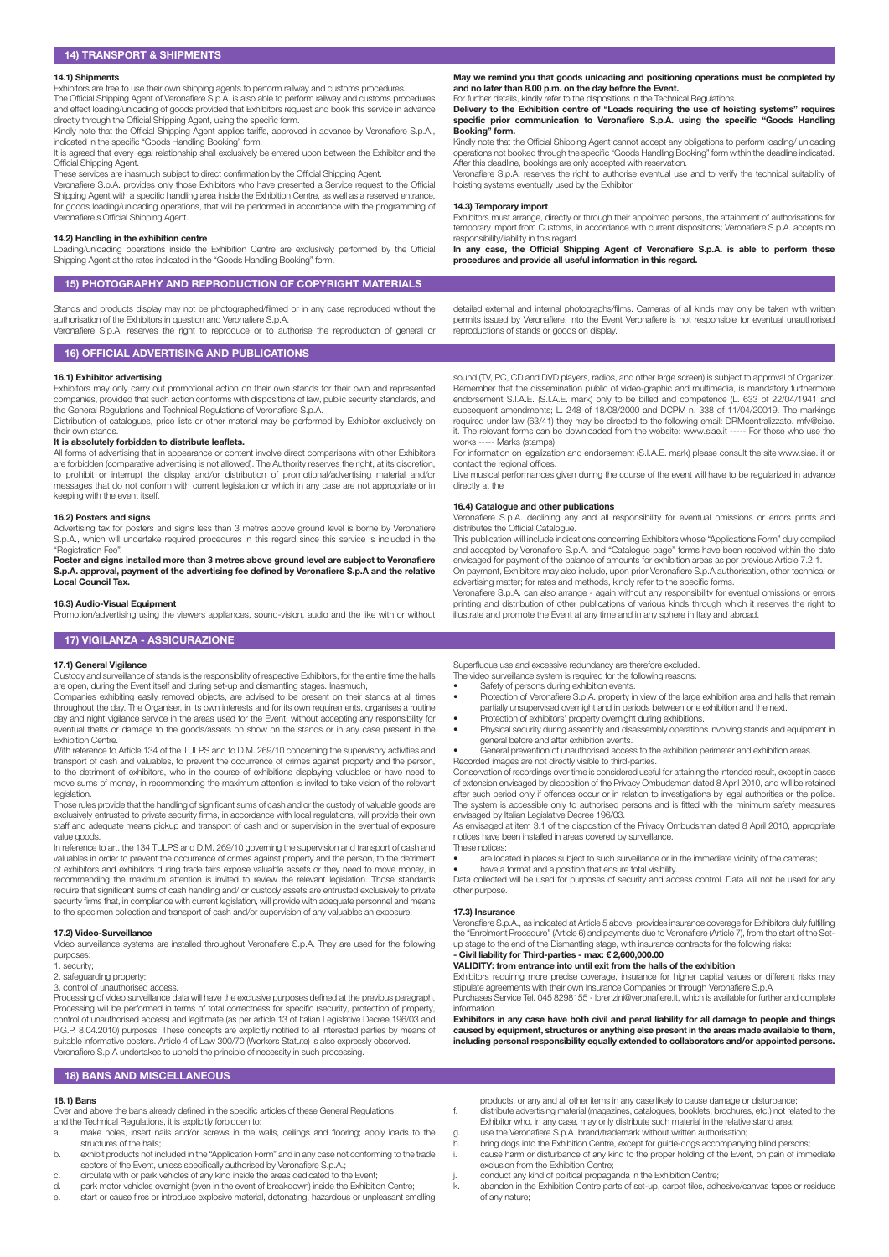#### 14.1) Shipments

Exhibitors are free to use their own shipping agents to perform railway and customs procedures.

The Official Shipping Agent of Veronafiere S.p.A. is also able to perform railway and customs procedures and effect loading/unloading of goods provided that Exhibitors request and book this service in advance directly through the Official Shipping Agent, using the specific form. Kindly note that the Official Shipping Agent applies tariffs, approved in advance by Veronafiere S.p.A.,

indicated in the specific "Goods Handling Booking" form. It is agreed that every legal relationship shall exclusively be entered upon between the Exhibitor and the

Official Shipping Agent.

These services are inasmuch subject to direct confirmation by the Official Shipping Agent. Veronafiere S.p.A. provides only those Exhibitors who have presented a Service request to the Official Shipping Agent with a specific handling area inside the Exhibition Centre, as well as a reserved entrance, for goods loading/unloading operations, that will be performed in accordance with the programming of Veronafiere's Official Shipping Agent.

#### 14.2) Handling in the exhibition centre

Loading/unloading operations inside the Exhibition Centre are exclusively performed by the Official Shipping Agent at the rates indicated in the "Goods Handling Booking" form.

# 15) PHOTOGRAPHY AND REPRODUCTION OF COPYRIGHT MATERIALS

Stands and products display may not be photographed/filmed or in any case reproduced without the authorisation of the Exhibitors in question and Veronafiere S.p.A.

Veronafiere S.p.A. reserves the right to reproduce or to authorise the reproduction of general or

# 16) OFFICIAL ADVERTISING AND PUBLICATIONS

#### 16.1) Exhibitor advertising

Exhibitors may only carry out promotional action on their own stands for their own and represented companies, provided that such action conforms with dispositions of law, public security standards, and the General Regulations and Technical Regulations of Veronafiere S.p.A.

Distribution of catalogues, price lists or other material may be performed by Exhibitor exclusively on their own stands.

#### It is absolutely forbidden to distribute leaflets.

All forms of advertising that in appearance or content involve direct comparisons with other Exhibitors are forbidden (comparative advertising is not allowed). The Authority reserves the right, at its discretion, to prohibit or interrupt the display and/or distribution of promotional/advertising material and/or messages that do not conform with current legislation or which in any case are not appropriate or in keeping with the event itself.

#### 16.2) Posters and signs

Advertising tax for posters and signs less than 3 metres above ground level is borne by Veronafiere S.p.A., which will undertake required procedures in this regard since this service is included in the "Registration Fee".

Poster and signs installed more than 3 metres above ground level are subject to Veronafiere S.p.A. approval, payment of the advertising fee defined by Veronafiere S.p.A and the relative Local Council Tax.

#### 16.3) Audio-Visual Equipment

Promotion/advertising using the viewers appliances, sound-vision, audio and the like with or without

## 17) VIGILANZA - ASSICURAZIONE

# 17.1) General Vigilance

Custody and surveillance of stands is the responsibility of respective Exhibitors, for the entire time the halls are open, during the Event itself and during set-up and dismantling stages. Inasmuch,

Companies exhibiting easily removed objects, are advised to be present on their stands at all times throughout the day. The Organiser, in its own interests and for its own requirements, organises a routine day and night vigilance service in the areas used for the Event, without accepting any responsibility for eventual thefts or damage to the goods/assets on show on the stands or in any case present in the Exhibition Centre.

With reference to Article 134 of the TULPS and to D.M. 269/10 concerning the supervisory activities and transport of cash and valuables, to prevent the occurrence of crimes against property and the person, to the detriment of exhibitors, who in the course of exhibitions displaying valuables or have need to move sums of money, in recommending the maximum attention is invited to take vision of the relevant legislation.

Those rules provide that the handling of significant sums of cash and or the custody of valuable goods are exclusively entrusted to private security firms, in accordance with local regulations, will provide their own staff and adequate means pickup and transport of cash and or supervision in the eventual of exposure value goods.

In reference to art, the 134 TULPS and D.M. 269/10 governing the supervision and transport of cash and valuables in order to prevent the occurrence of crimes against property and the person, to the detriment of exhibitors and exhibitors during trade fairs expose valuable assets or they need to move money, in recommending the maximum attention is invited to review the relevant legislation. Those standards require that significant sums of cash handling and/ or custody assets are entrusted exclusively to private security firms that, in compliance with current legislation, will provide with adequate personnel and means to the specimen collection and transport of cash and/or supervision of any valuables an exposure

#### 17.2) Video-Surveillance

Video surveillance systems are installed throughout Veronafiere S.p.A. They are used for the following purposes:

- 1. security; 2. safeguarding property;
- 3. control of unauthorised access.

Processing of video surveillance data will have the exclusive purposes defined at the previous paragraph. Processing will be performed in terms of total correctness for specific (security, protection of property, control of unauthorised access) and legitimate (as per article 13 of Italian Legislative Decree 196/03 and P.G.P. 8.04.2010) purposes. These concepts are explicitly notified to all interested parties by means of suitable informative posters. Article 4 of Law 300/70 (Workers Statute) is also expressly observed. Veronafiere S.p.A undertakes to uphold the principle of necessity in such processing.

#### 18) BANS AND MISCELLANEOUS

### 18.1) Bans

Over and above the bans already defined in the specific articles of these General Regulations and the Technical Regulations, it is explicitly forbidden to:

- a. make holes, insert nails and/or screws in the walls, ceilings and flooring; apply loads to the structures of the halls; b. exhibit products not included in the "Application Form" and in any case not conforming to the trade
- sectors of the Event, unless specifically authorised by Veronafiere S.p.A.;
- c. circulate with or park vehicles of any kind inside the areas dedicated to the Event; d. park motor vehicles overnight (even in the event of breakdown) inside the Exhibition Centre;
- e. start or cause fires or introduce explosive material, detonating, hazardous or unpleasant smelling

May we remind you that goods unloading and positioning operations must be completed by and no later than 8.00 p.m. on the day before the Event.

#### For further details, kindly refer to the dispositions in the Technical Regulations.

Delivery to the Exhibition centre of "Loads requiring the use of hoisting systems" requires specific prior communication to Veronafiere S.p.A. using the specific "Goods Handling Booking" form.

Kindly note that the Official Shipping Agent cannot accept any obligations to perform loading/ unloading operations not booked through the specific "Goods Handling Booking" form within the deadline indicated. After this deadline, bookings are only accepted with reservation.

Veronafiere S.p.A. reserves the right to authorise eventual use and to verify the technical suitability of hoisting systems eventually used by the Exhibitor.

#### 14.3) Temporary import

Exhibitors must arrange, directly or through their appointed persons, the attainment of authorisations for temporary import from Customs, in accordance with current dispositions; Veronafiere S.p.A. accepts no responsibility/liability in this regard.

In any case, the Official Shipping Agent of Veronafiere S.p.A. is able to perform these procedures and provide all useful information in this regard.

detailed external and internal photographs/films. Cameras of all kinds may only be taken with written permits issued by Veronafiere. into the Event Veronafiere is not responsible for eventual unauthorised reproductions of stands or goods on display.

sound (TV, PC, CD and DVD players, radios, and other large screen) is subject to approval of Organizer. Remember that the dissemination public of video-graphic and multimedia, is mandatory furthermore endorsement S.I.A.E. (S.I.A.E. mark) only to be billed and competence (L. 633 of 22/04/1941 and subsequent amendments; L. 248 of 18/08/2000 and DCPM n. 338 of 11/04/20019. The markings required under law (63/41) they may be directed to the following email: DRMcentralizzato. mfv@siae. it. The relevant forms can be downloaded from the website: www.siae.it ----- For those who use the works ----- Marks (stamps).

For information on legalization and endorsement (S.I.A.E. mark) please consult the site www.siae. it or contact the regional offices.

Live musical performances given during the course of the event will have to be regularized in advance directly at the

#### 16.4) Catalogue and other publications

hafiere S.p.A. declining any and all responsibility for eventual omissions or errors prints and distributes the Official Catalogue.

This publication will include indications concerning Exhibitors whose "Applications Form" duly compiled and accepted by Veronafiere S.p.A. and "Catalogue page" forms have been received within the date envisaged for payment of the balance of amounts for exhibition areas as per previous Article 7.2.1. On payment, Exhibitors may also include, upon prior Veronafiere S.p.A authorisation, other technical or advertising matter; for rates and methods, kindly refer to the specific forms.

Veronafiere S.p.A. can also arrange - again without any responsibility for eventual omissions or errors printing and distribution of other publications of various kinds through which it reserves the right to illustrate and promote the Event at any time and in any sphere in Italy and abroad.

- 
- 
- partially unsupervised overnight and in periods between one exhibition and the next.
- Protection of exhibitors' property overnight during exhibitions.
- general before and after exhibition events.
- 

of extension envisaged by disposition of the Privacy Ombudsman dated 8 April 2010, and will be retained after such period only if offences occur or in relation to investigations by legal authorities or the police. The system is accessible only to authorised persons and is fitted with the minimum safety measures

notices have been installed in areas covered by surveillance.

- are located in places subject to such surveillance or in the immediate vicinity of the cameras;
- 

other purpose.

#### 17.3) Insurance

Veronafiere S.p.A., as indicated at Article 5 above, provides insurance coverage for Exhibitors duly fulfilling the "Enrolment Procedure" (Article 6) and payments due to Veronafiere (Article 7), from the start of the Setup stage to the end of the Dismantling stage, with insurance contracts for the following risks:<br>**- Civil liability for Third-parties - max: € 2,600,000.00** 

VALIDITY: from entrance into until exit from the halls of the exhibition Exhibitors requiring more precise coverage, insurance for higher capital values or different risks may stipulate agreements with their own Insurance Companies or through Veronafiere S.p.A

Purchases Service Tel. 045 8298155 - lorenzini@veronafiere.it, which is available for further and complete information.

Exhibitors in any case have both civil and penal liability for all damage to people and things caused by equipment, structures or anything else present in the areas made available to them, including personal responsibility equally extended to collaborators and/or appointed persons.

- products, or any and all other items in any case likely to cause damage or disturbance; f. distribute advertising material (magazines, catalogues, booklets, brochures, etc.) not related to the
- Exhibitor who, in any case, may only distribute such material in the relative stand area; g. use the Veronafiere S.p.A. brand/trademark without written authorisation;
- 
- h. bring dogs into the Exhibition Centre, except for guide-dogs accompanying blind persons;<br>i. cause harm or disturbance of any kind to the proper holding of the Event, on pain of imm cause harm or disturbance of any kind to the proper holding of the Event, on pain of immediate exclusion from the Exhibition Centre;
- conduct any kind of political propaganda in the Exhibition Centre;
- k. abandon in the Exhibition Centre parts of set-up, carpet tiles, adhesive/canvas tapes or residues of any nature;

Superfluous use and excessive redundancy are therefore excluded. The video surveillance system is required for the following reasons: Safety of persons during exhibition events.

- Protection of Veronafiere S.p.A. property in view of the large exhibition area and halls that remain
- 
- Physical security during assembly and disassembly operations involving stands and equipment in
- General prevention of unauthorised access to the exhibition perimeter and exhibition areas.

Recorded images are not directly visible to third-parties. Conservation of recordings over time is considered useful for attaining the intended result, except in cases

envisaged by Italian Legislative Decree 196/03. As envisaged at item 3.1 of the disposition of the Privacy Ombudsman dated 8 April 2010, appropriate

These notices:

• have a format and a position that ensure total visibility.

Data collected will be used for purposes of security and access control. Data will not be used for any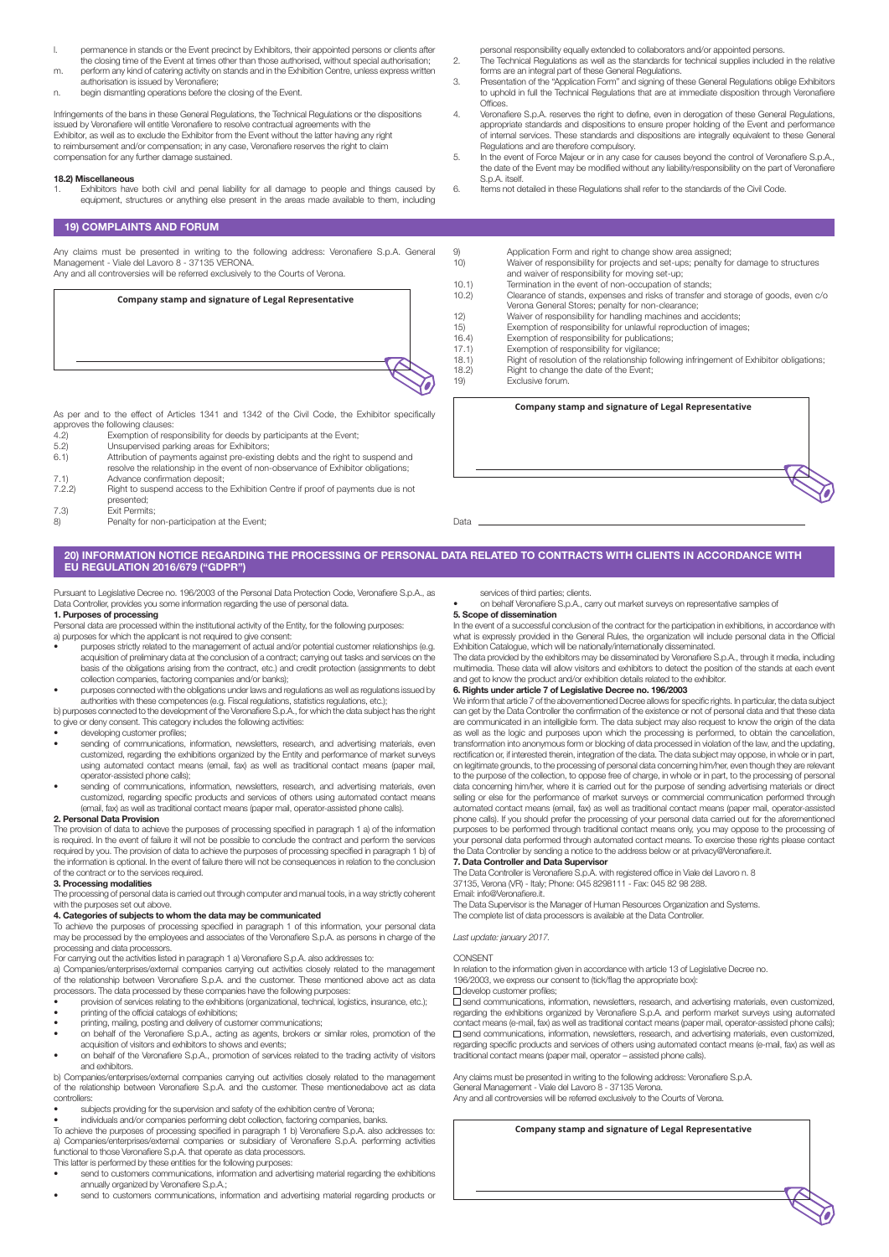- permanence in stands or the Event precinct by Exhibitors, their appointed persons or clients after the closing time of the Event at times other than those authorised, without special authorisation; m. perform any kind of catering activity on stands and in the Exhibition Centre, unless express written
- authorisation is issued by Veronafiere; n. begin dismantling operations before the closing of the Event.

Infringements of the bans in these General Regulations, the Technical Regulations or the dispositions issued by Veronafiere will entitle Veronafiere to resolve contractual agreements with the Exhibitor, as well as to exclude the Exhibitor from the Event without the latter having any right to reimbursement and/or compensation; in any case, Veronafiere reserves the right to claim compensation for any further damage sustained.

#### 18.2) Miscellaneous

1. Exhibitors have both civil and penal liability for all damage to people and things caused by equipment, structures or anything else present in the areas made available to them, including

#### 19) COMPLAINTS AND FORUM

Any claims must be presented in writing to the following address: Veronafiere S.p.A. General

personal responsibility equally extended to collaborators and/or appointed persons.

- 2. The Technical Regulations as well as the standards for technical supplies included in the relative forms are an integral part of these General Regulations.
- 3. Presentation of the "Application Form" and signing of these General Regulations oblige Exhibitors to uphold in full the Technical Regulations that are at immediate disposition through Veronafiere Offices
- 4. Veronafiere S.p.A. reserves the right to define, even in derogation of these General Regulations, appropriate standards and dispositions to ensure proper holding of the Event and performance of internal services. These standards and dispositions are integrally equivalent to these General Regulations and are therefore compulsory.
- 5. In the event of Force Majeur or in any case for causes beyond the control of Veronafiere S.p.A., the date of the Event may be modified without any liability/responsibility on the part of Veronafiere S.p.A. itself.

Right of resolution of the relationship following infringement of Exhibitor obligations;

**Company stamp and signature of Legal Representative**

6. Items not detailed in these Regulations shall refer to the standards of the Civil Code.

Management - Viale del Lavoro 8 - 37135 VERONA. Any and all controversies will be referred exclusively to the Courts of Verona. **Company stamp and signature of Legal Representative** 9) Application Form and right to change show area assigned;<br>10) Waiver of responsibility for projects and set-ups; penalty fo 10) Waiver of responsibility for projects and set-ups; penalty for damage to structures and waiver of responsibility for moving set-up; 10.1) Termination in the event of non-occupation of stands; 10.2) Clearance of stands, expenses and risks of transfer and storage of goods, even c/o Verona General Stores; penalty for non-clearance; 12) Waiver of responsibility for handling machines and accidents; 15) Exemption of responsibility for unlawful reproduction of images; 16.4) Exemption of responsibility for publications;<br>17.1) Exemption of responsibility for vigilance; 17.1) Exemption of responsibility for vigilance;<br>18.1) Right of resolution of the relationship foll 18.2) Right to change the date of the Event;<br>19) Exclusive forum.

As per and to the effect of Articles 1341 and 1342 of the Civil Code, the Exhibitor specifically

- approves the following clauses:<br>4.2) Exemption of res 4.2) Exemption of responsibility for deeds by participants at the Event<br>5.2) Unsupervised parking areas for Exhibitors;<br>6.1) Attribution of payments against pre-existing debts and the right to
- 
- 5.2) Unsupervised parking areas for Exhibitors; 6.1) Attribution of payments against pre-existing debts and the right to suspend and
- resolve the relationship in the event of non-observance of Exhibitor obligations
- 7.1) Advance confirmation deposit;<br>
7.2.2) Right to suspend access to the Right to suspend access to the Exhibition Centre if proof of payments due is not presented;
- 7.3) Exit Permits;
- 8) Penalty for non-participation at the Event:

Data

# 20) INFORMATION NOTICE REGARDING THE PROCESSING OF PERSONAL DATA RELATED TO CONTRACTS WITH CLIENTS IN ACCORDANCE WITH EU REGULATION 2016/679 ("GDPR")

Pursuant to Legislative Decree no. 196/2003 of the Personal Data Protection Code, Veronafiere S.p.A., as Data Controller, provides you some information regarding the use of personal data.

# 1. Purposes of processing

Personal data are processed within the institutional activity of the Entity, for the following purposes:

- a) purposes for which the applicant is not required to give consent:
- purposes strictly related to the management of actual and/or potential customer relationships (e.g. acquisition of preliminary data at the conclusion of a contract; carrying out tasks and services on the basis of the obligations arising from the contract, etc.) and credit protection (assignments to debt collection companies, factoring companies and/or banks);
- purposes connected with the obligations under laws and regulations as well as regulations issued by perpetities with these competences (e.g. Fiscal regulations, statistics regulations, etc.);

b) purposes connected to the development of the Veronafiere S.p.A., for which the data subject has the right to give or deny consent. This category includes the following activities:

- developing customer profiles;
- sending of communications, information, newsletters, research, and advertising materials, even customized, regarding the exhibitions organized by the Entity and performance of market surveys using automated contact means (email, fax) as well as traditional contact means (paper mail, operator-assisted phone calls);
- sending of communications, information, newsletters, research, and advertising materials, even customized, regarding specific products and services of others using automated contact means (email, fax) as well as traditional contact means (paper mail, operator-assisted phone calls).

**2. Personal Data Provision**<br>The provision of data to achieve the purposes of processing specified in paragraph 1 a) of the information is required. In the event of failure it will not be possible to conclude the contract and perform the services required by you. The provision of data to achieve the purposes of processing specified in paragraph 1 b) of the information is optional. In the event of failure there will not be consequences in relation to the conclusion of the contract or to the services required.

# 3. Processing modalities

The processing of personal data is carried out through computer and manual tools, in a way strictly coherent with the purposes set out above.

#### 4. Categories of subjects to whom the data may be communicated

To achieve the purposes of processing specified in paragraph 1 of this information, your personal data may be processed by the employees and associates of the Veronafiere S.p.A. as persons in charge of the processing and data processors.

For carrying out the activities listed in paragraph 1 a) Veronafiere S.p.A. also addresses to:

a) Companies/enterprises/external companies carrying out activities closely related to the management of the relationship between Veronafiere S.p.A. and the customer. These mentioned above act as data processors. The data processed by these companies have the following purposes:

- provision of services relating to the exhibitions (organizational, technical, logistics, insurance, etc.);
- printing of the official catalogs of exhibitions; • printing, mailing, posting and delivery of customer communications;
- on behalf of the Veronafiere S.p.A., acting as agents, brokers or similar roles, promotion of the acquisition of visitors and exhibitors to shows and events;
- on behalf of the Veronafiere S.p.A., promotion of services related to the trading activity of visitors and exhibitors.

b) Companies/enterprises/external companies carrying out activities closely related to the management of the relationship between Veronafiere S.p.A. and the customer. These mentionedabove act as data controllers:

- 
- subjects providing for the supervision and safety of the exhibition centre of Verona; individuals and/or companies performing debt collection, factoring companies, banks.

To achieve the purposes of processing specified in paragraph 1 b) Veronafiere S.p.A. also addresses to: a) Companies/enterprises/external companies or subsidiary of Veronafiere S.p.A. performing activities functional to those Veronafiere S.p.A. that operate as data processors.

- This latter is performed by these entities for the following purposes: send to customers communications, information and advertising material regarding the exhibitions annually organized by Veronafiere S.p.A.;
- send to customers communications, information and advertising material regarding products or

services of third parties; clients. • on behalf Veronafiere S.p.A., carry out market surveys on representative samples of

5. Scope of dissemination

Exclusive forum.

In the event of a successful conclusion of the contract for the participation in exhibitions, in accordance with what is expressly provided in the General Rules, the organization will include personal data in the Official Exhibition Catalogue, which will be nationally/internationally disseminated.

The data provided by the exhibitors may be disseminated by Veronafiere S.p.A., through it media, including multimedia. These data will allow visitors and exhibitors to detect the position of the stands at each event and get to know the product and/or exhibition details related to the exhibitor.

# 6. Rights under article 7 of Legislative Decree no. 196/2003

We inform that article 7 of the abovementioned Decree allows for specific rights. In particular, the data subject can get by the Data Controller the confirmation of the existence or not of personal data and that these data are communicated in an intelligible form. The data subject may also request to know the origin of the data as well as the logic and purposes upon which the processing is performed, to obtain the cancellation, transformation into anonymous form or blocking of data processed in violation of the law, and the updating, rectification or, if interested therein, integration of the data. The data subject may oppose, in whole or in part, on legitimate grounds, to the processing of personal data concerning him/her, even though they are relevant to the purpose of the collection, to oppose free of charge, in whole or in part, to the processing of personal data concerning him/her, where it is carried out for the purpose of sending advertising materials or direct<br>selling or else for the performance of market surveys or commercial communication performed through automated contact means (email, fax) as well as traditional contact means (paper mail, operator-assisted phone calls). If you should prefer the processing of your personal data carried out for the aforementioned purposes to be performed through traditional contact means only, you may oppose to the processing of your personal data performed through automated contact means. To exercise these rights please contact the Data Controller by sending a notice to the address below or at privacy@Veronafiere.it.

# 7. Data Controller and Data Supervisor

The Data Controller is Veronafiere S.p.A. with registered office in Viale del Lavoro n. 8 37135, Verona (VR) - Italy; Phone: 045 8298111 - Fax: 045 82 98 288. Email: info@Veronafiere.it.

The Data Supervisor is the Manager of Human Resources Organization and Systems. The complete list of data processors is available at the Data Controller.

*Last update: january 2017.*

# **CONSENT**

In relation to the information given in accordance with article 13 of Legislative Decree no.

196/2003, we express our consent to (tick/flag the appropriate box):

develop customer profiles;

 $\square$  send communications, information, newsletters, research, and advertising materials, even customized, regarding the exhibitions organized by Veronafiere S.p.A. and perform market surveys using automated contact means (e-mail, fax) as well as traditional contact means (paper mail, operator-assisted phone calls); □ send communications, information, newsletters, research, and advertising materials, even customized,<br>regarding specific products and services of others using automated contact means (e-mail, fax) as well as traditional contact means (paper mail, operator – assisted phone calls).

Any claims must be presented in writing to the following address: Veronafiere S.p.A. General Management - Viale del Lavoro 8 - 37135 Verona. Any and all controversies will be referred exclusively to the Courts of Verona.